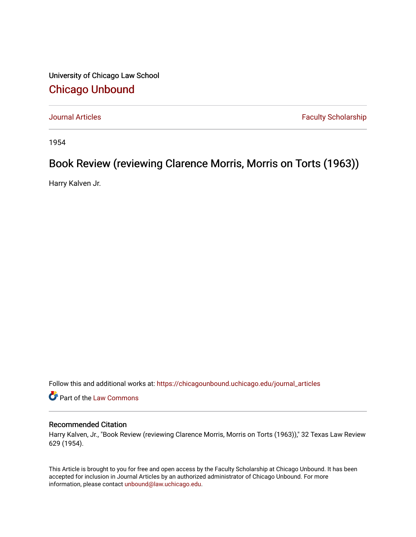University of Chicago Law School [Chicago Unbound](https://chicagounbound.uchicago.edu/)

[Journal Articles](https://chicagounbound.uchicago.edu/journal_articles) **Faculty Scholarship Faculty Scholarship** 

1954

# Book Review (reviewing Clarence Morris, Morris on Torts (1963))

Harry Kalven Jr.

Follow this and additional works at: [https://chicagounbound.uchicago.edu/journal\\_articles](https://chicagounbound.uchicago.edu/journal_articles?utm_source=chicagounbound.uchicago.edu%2Fjournal_articles%2F8861&utm_medium=PDF&utm_campaign=PDFCoverPages) 

Part of the [Law Commons](http://network.bepress.com/hgg/discipline/578?utm_source=chicagounbound.uchicago.edu%2Fjournal_articles%2F8861&utm_medium=PDF&utm_campaign=PDFCoverPages)

### Recommended Citation

Harry Kalven, Jr., "Book Review (reviewing Clarence Morris, Morris on Torts (1963))," 32 Texas Law Review 629 (1954).

This Article is brought to you for free and open access by the Faculty Scholarship at Chicago Unbound. It has been accepted for inclusion in Journal Articles by an authorized administrator of Chicago Unbound. For more information, please contact [unbound@law.uchicago.edu](mailto:unbound@law.uchicago.edu).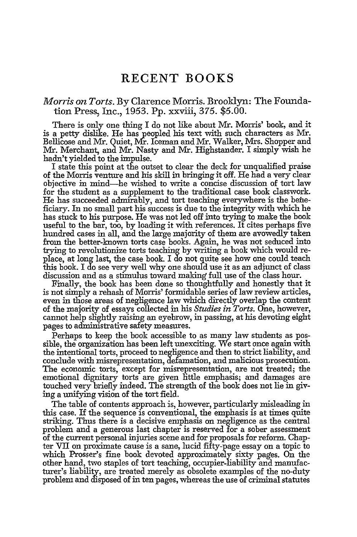## **RECENT** BOOKS

#### *Morris on Torts.* By Clarence Morris. Brooklyn: The Foundation Press, Inc., 1953. Pp. xxviii, 375. \$5.00.

There is only one thing I do not like about Mr. Morris' book, and it is a petty dislike. He has peopled his text with such characters as **Mr.** Bellicose and Mr. Quiet, Mr. Iceman and Mr. Walker, Mrs. Shopper and Mr. Merchant, and Mr. Nasty and Mr. Highstander. I simply wish he hadn't yielded to the impulse. I state this point at the outset to clear the deck for unqualified praise

of the Morris venture and his skill in bringing it off. He had a very clear objective in mind-he wished to write a concise discussion of tort law for the student as a supplement to the traditional case book classwork. He has succeeded admirably, and tort teaching everywhere is the beneficiary. In no small part his success is due to the integrity with which he has stuck to his purpose. He was not led off into trying to make the book useful to the bar, too, by loading it with references. It cites perhaps five hundred cases in all, and the large majority of them are avowedly taken from the better-known torts case books. Again, he was not seduced into trying to revolutionize torts teaching by writing a book which would replace, at long last, the case book. I do not quite see how one could teach this book. I do see very well why one should use it as an adjunct of class discussion and as a stimulus toward making full use of the class hour.

Finally, the book has been done so thoughtfully and honestly that it is not simply a rehash of Morris' formidable series of law review articles, even in those areas of negligence law which directly overlap the content of the majority of essays collected in his *Studies in Torts.* One, however, cannot help slightly raising an eyebrow, in passing, at his devoting eight pages to administrative safety measures.

Perhaps to keep the book accessible to as many law students as possible, the organization has been left unexciting. We start once again with the intentional torts, proceed to negligence and then to strict liability, and conclude with misrepresentation, defamation, and malicious prosecution. The economic torts, except for misrepresentation, are not treated; the emotional dignitary torts are given little emphasis; and damages are touched very briefly indeed. The strength of the book does not lie in giving a unifying vision of the tort field.

The table of contents approach is, however, particularly misleading in this case. If the sequence is conventional, the emphasis is at times quite striking. Thus there is a decisive emphasis on negligence as the central problem and a generous last chapter is reserved for a sober assessment of the current personal injuries scene and for proposals for reform. Chapter VII on proximate cause is a sane, lucid fifty-page essay on a topic to which Prosser's fine book devoted approximately sixty pages. On the other hand, two staples of tort teaching, occupier-liability and manufacturer's liability, are treated merely as obsolete examples of the no-duty problem and disposed of in ten pages, whereas the use of criminal statutes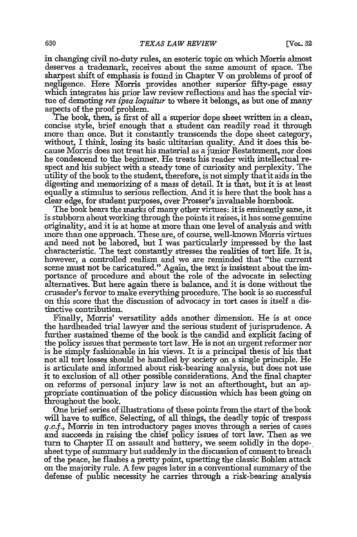in changing civil no-duty rules, an esoteric topic on which Morris almost deserves a trademark, receives about the same amount of space. The sharpest shift of emphasis is found in Chapter V on problems of proof of negligence. Here Morris provides another superior fifty-page essay which integrates his prior law review reflections and has the special virtue of demoting *res ipsa loquitur* to where it belongs, as but one of many aspects of the proof problem.

The book, then, is first of all a superior dope sheet written in a clean, concise style, brief enough that a student can readily read it through more than once. But it constantly transcends the dope sheet category, without, I think, losing its basic ultitarian quality. And it does this because Morris does not treat his material as a junior Restatement, nor does he condescend to the beginner. He treats his reader with intellectual respect and his subject with a steady tone of curiosity and perplexity. The utility of the book to the student, therefore, is not simply that it aids in the digesting and memorizing of a mass of detail. It is that, but it is at least equally a stimulus to serious reflection. And it is here that the book has a clear edge, for student purposes, over Prosser's invaluable hornbook.

The book bears the marks of many other virtues: it is eminently sane, it is stubborn about working through the points it raises, it has some genuine originality, and it is at home at more than one level of analysis and with more than one approach. These are, of course, well-known Morris virtues and need not be labored, but I was particularly impressed by the last characteristic. The text constantly stresses the realities of tort life. It is, however, a controlled realism and we are reminded that "the current scene must not be caricatured." Again, the text is insistent about the importance of procedure and about the role of the advocate in selecting alternatives. But here again there is balance, and it is done without the crusader's fervor to make everything procedure. The book is so successful on this score that the discussion of aavocacy in tort cases is itself a distinctive contribution.

Finally, Morris' versatility adds another dimension. He is at once the hardheaded trial lawyer and the serious student of jurisprudence. A further sustained theme of the book is the candid and explicit facing of the policy issues that permeate tort law. He is not an urgent reformer nor is he simply fashionable in his views. It is a principal thesis of his that **not** all tort losses should be handled by society on a single principle. He is articulate and informed about risk-bearing analysis, but does not use it to exclusion of all other possible considerations. And the final chapter on reforms of personal injury law is not an afterthought, but an appropriate continuation of the policy discussion which has been going on throughout the book.

One brief series of illustrations of these points from the start of the book will have to suffice. Selecting, of all things, the deadly topic of trespass *q.c.f.,* Morris in ten introductory pages moves through a series of cases and succeeds in raising the chief policy issues of tort law. Then as we turn to Chapter II on assault and battery, we seem solidly in the dopesheet type of summary but suddenly in the discussion of consent to breach of the peace, he flashes a pretty point, upsetting the classic Bohlen attack on the majority rule. A few pages later in a conventional summary of the defense of public necessity he carries through a risk-bearing analysis